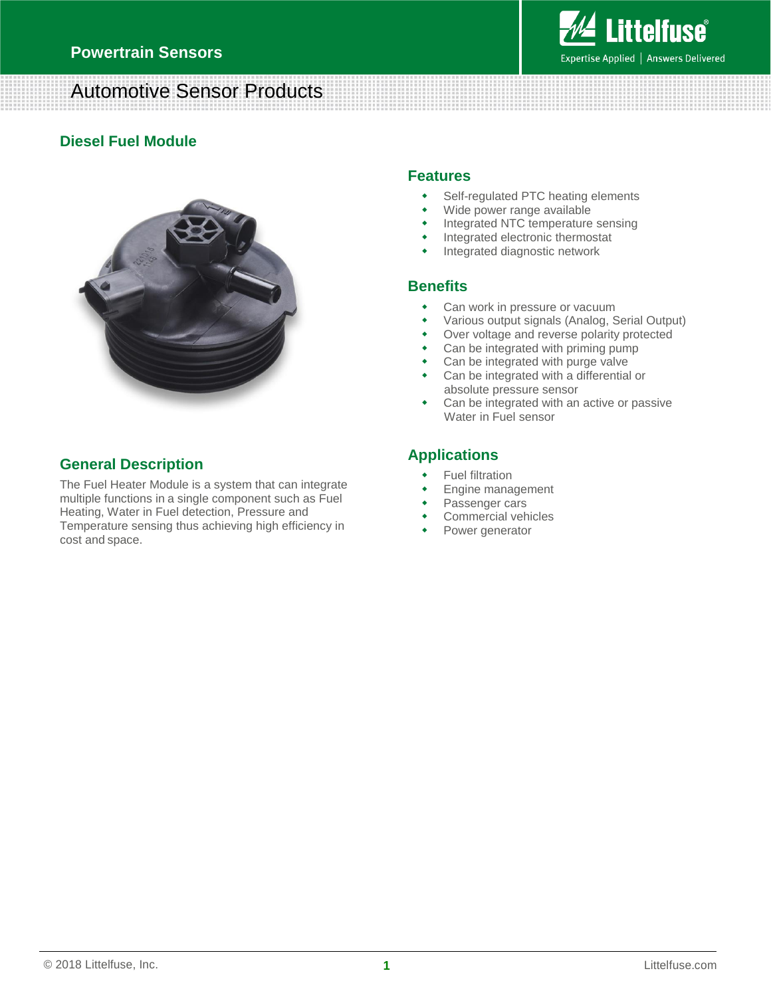# **Littelfuse**® Expertise Applied | Answers Delivered

## Automotive Sensor Products

## **Diesel Fuel Module**



## **General Description**

The Fuel Heater Module is a system that can integrate multiple functions in a single component such as Fuel Heating, Water in Fuel detection, Pressure and Temperature sensing thus achieving high efficiency in cost and space.

## **Features**

- Self-regulated PTC heating elements
- Wide power range available
- Integrated NTC temperature sensing
- Integrated electronic thermostat
- Integrated diagnostic network

## **Benefits**

- Can work in pressure or vacuum
- Various output signals (Analog, Serial Output)
- Over voltage and reverse polarity protected
- Can be integrated with priming pump
- Can be integrated with purge valve
- Can be integrated with a differential or absolute pressure sensor
- Can be integrated with an active or passive Water in Fuel sensor

## **Applications**

- Fuel filtration
- Engine management
- Passenger cars
- Commercial vehicles
- Power generator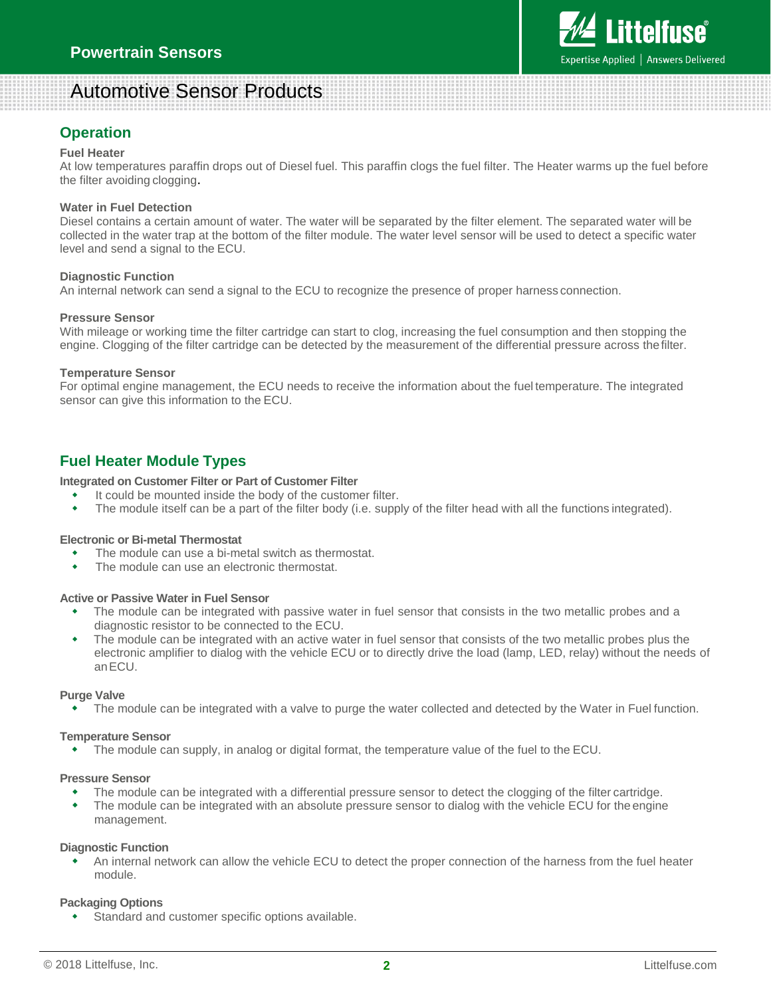# Automotive Sensor Products

## **Operation**

## **Fuel Heater**

At low temperatures paraffin drops out of Diesel fuel. This paraffin clogs the fuel filter. The Heater warms up the fuel before the filter avoiding clogging.

### **Water in Fuel Detection**

Diesel contains a certain amount of water. The water will be separated by the filter element. The separated water will be collected in the water trap at the bottom of the filter module. The water level sensor will be used to detect a specific water level and send a signal to the ECU.

### **Diagnostic Function**

An internal network can send a signal to the ECU to recognize the presence of proper harness connection.

### **Pressure Sensor**

With mileage or working time the filter cartridge can start to clog, increasing the fuel consumption and then stopping the engine. Clogging of the filter cartridge can be detected by the measurement of the differential pressure across thefilter.

### **Temperature Sensor**

For optimal engine management, the ECU needs to receive the information about the fuel temperature. The integrated sensor can give this information to the ECU.

## **Fuel Heater Module Types**

### **Integrated on Customer Filter or Part of Customer Filter**

- It could be mounted inside the body of the customer filter.
- The module itself can be a part of the filter body (i.e. supply of the filter head with all the functions integrated).

### **Electronic or Bi-metal Thermostat**

- The module can use a bi-metal switch as thermostat.
- The module can use an electronic thermostat.

### **Active or Passive Water in Fuel Sensor**

- The module can be integrated with passive water in fuel sensor that consists in the two metallic probes and a diagnostic resistor to be connected to the ECU.
- The module can be integrated with an active water in fuel sensor that consists of the two metallic probes plus the electronic amplifier to dialog with the vehicle ECU or to directly drive the load (lamp, LED, relay) without the needs of anECU.

### **Purge Valve**

The module can be integrated with a valve to purge the water collected and detected by the Water in Fuel function.

### **Temperature Sensor**

The module can supply, in analog or digital format, the temperature value of the fuel to the ECU.

### **Pressure Sensor**

- The module can be integrated with a differential pressure sensor to detect the clogging of the filter cartridge.
- The module can be integrated with an absolute pressure sensor to dialog with the vehicle ECU for the engine management.

#### **Diagnostic Function**

 An internal network can allow the vehicle ECU to detect the proper connection of the harness from the fuel heater module.

## **Packaging Options**

Standard and customer specific options available.